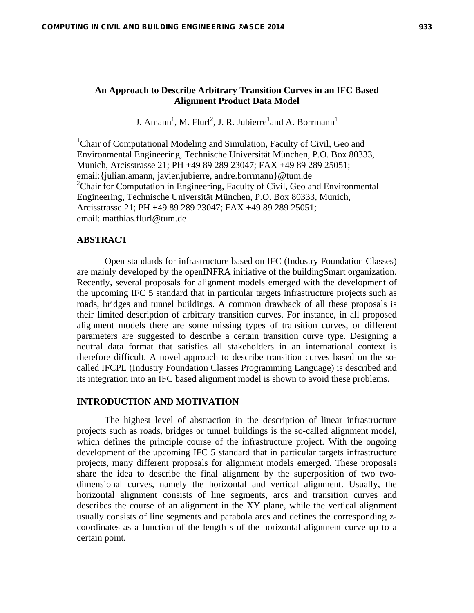## **An Approach to Describe Arbitrary Transition Curves in an IFC Based Alignment Product Data Model**

J. Amann<sup>1</sup>, M. Flurl<sup>2</sup>, J. R. Jubierre<sup>1</sup> and A. Borrmann<sup>1</sup>

<sup>1</sup>Chair of Computational Modeling and Simulation, Faculty of Civil, Geo and Environmental Engineering, Technische Universität München, P.O. Box 80333, Munich, Arcisstrasse 21; PH +49 89 289 23047; FAX +49 89 289 25051; email:{julian.amann, javier.jubierre, andre.borrmann}@tum.de <sup>2</sup> Chair for Computation in Engineering, Faculty of Civil, Geo and Environmental Engineering, Technische Universität München, P.O. Box 80333, Munich, Arcisstrasse 21; PH +49 89 289 23047; FAX +49 89 289 25051; email: matthias.flurl@tum.de

## **ABSTRACT**

 Open standards for infrastructure based on IFC (Industry Foundation Classes) are mainly developed by the openINFRA initiative of the buildingSmart organization. Recently, several proposals for alignment models emerged with the development of the upcoming IFC 5 standard that in particular targets infrastructure projects such as roads, bridges and tunnel buildings. A common drawback of all these proposals is their limited description of arbitrary transition curves. For instance, in all proposed alignment models there are some missing types of transition curves, or different parameters are suggested to describe a certain transition curve type. Designing a neutral data format that satisfies all stakeholders in an international context is therefore difficult. A novel approach to describe transition curves based on the socalled IFCPL (Industry Foundation Classes Programming Language) is described and its integration into an IFC based alignment model is shown to avoid these problems.

## **INTRODUCTION AND MOTIVATION**

The highest level of abstraction in the description of linear infrastructure projects such as roads, bridges or tunnel buildings is the so-called alignment model, which defines the principle course of the infrastructure project. With the ongoing development of the upcoming IFC 5 standard that in particular targets infrastructure projects, many different proposals for alignment models emerged. These proposals share the idea to describe the final alignment by the superposition of two twodimensional curves, namely the horizontal and vertical alignment. Usually, the horizontal alignment consists of line segments, arcs and transition curves and describes the course of an alignment in the XY plane, while the vertical alignment usually consists of line segments and parabola arcs and defines the corresponding zcoordinates as a function of the length s of the horizontal alignment curve up to a certain point.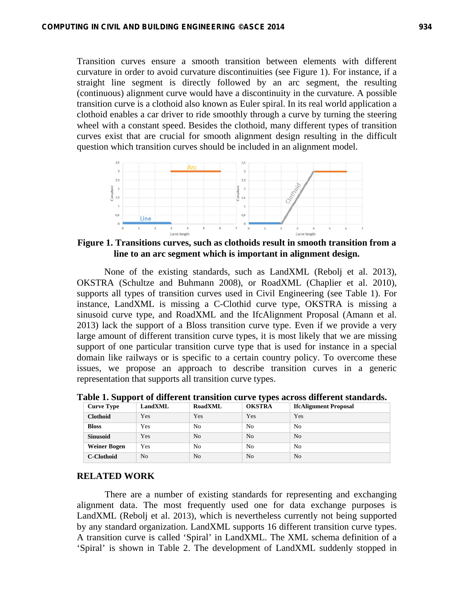Transition curves ensure a smooth transition between elements with different curvature in order to avoid curvature discontinuities (see Figure 1). For instance, if a straight line segment is directly followed by an arc segment, the resulting (continuous) alignment curve would have a discontinuity in the curvature. A possible transition curve is a clothoid also known as Euler spiral. In its real world application a clothoid enables a car driver to ride smoothly through a curve by turning the steering wheel with a constant speed. Besides the clothoid, many different types of transition curves exist that are crucial for smooth alignment design resulting in the difficult question which transition curves should be included in an alignment model.



**Figure 1. Transitions curves, such as clothoids result in smooth transition from a line to an arc segment which is important in alignment design.** 

None of the existing standards, such as LandXML (Rebolj et al. 2013), OKSTRA (Schultze and Buhmann 2008), or RoadXML (Chaplier et al. 2010), supports all types of transition curves used in Civil Engineering (see Table 1). For instance, LandXML is missing a C-Clothid curve type, OKSTRA is missing a sinusoid curve type, and RoadXML and the IfcAlignment Proposal (Amann et al. 2013) lack the support of a Bloss transition curve type. Even if we provide a very large amount of different transition curve types, it is most likely that we are missing support of one particular transition curve type that is used for instance in a special domain like railways or is specific to a certain country policy. To overcome these issues, we propose an approach to describe transition curves in a generic representation that supports all transition curve types.

| <b>Curve Type</b>   | LandXML        | <b>RoadXML</b> | <b>OKSTRA</b>  | <b>IfcAlignment Proposal</b> |
|---------------------|----------------|----------------|----------------|------------------------------|
| <b>Clothoid</b>     | Yes            | Yes            | Yes            | Yes                          |
| <b>Bloss</b>        | Yes            | N <sub>0</sub> | N <sub>0</sub> | N <sub>0</sub>               |
| <b>Sinusoid</b>     | Yes            | No             | N <sub>0</sub> | N <sub>0</sub>               |
| <b>Weiner Bogen</b> | Yes            | No             | N <sub>0</sub> | N <sub>0</sub>               |
| <b>C-Clothoid</b>   | N <sub>0</sub> | No             | N <sub>0</sub> | N <sub>0</sub>               |

**Table 1. Support of different transition curve types across different standards.** 

## **RELATED WORK**

There are a number of existing standards for representing and exchanging alignment data. The most frequently used one for data exchange purposes is LandXML (Rebolj et al. 2013), which is nevertheless currently not being supported by any standard organization. LandXML supports 16 different transition curve types. A transition curve is called 'Spiral' in LandXML. The XML schema definition of a 'Spiral' is shown in Table 2. The development of LandXML suddenly stopped in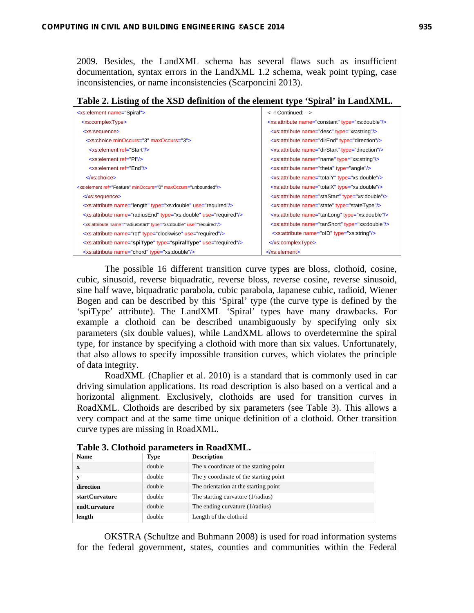2009. Besides, the LandXML schema has several flaws such as insufficient documentation, syntax errors in the LandXML 1.2 schema, weak point typing, case inconsistencies, or name inconsistencies (Scarponcini 2013).

| <xs:element name="Spiral"></xs:element>                                          | <--! Continued: -->                                            |
|----------------------------------------------------------------------------------|----------------------------------------------------------------|
| <xs:complextype></xs:complextype>                                                | <xs:attribute name="constant" type="xs:double"></xs:attribute> |
| <xs:sequence></xs:sequence>                                                      | <xs:attribute name="desc" type="xs:string"></xs:attribute>     |
| $\leq$ xs:choice minOccurs="3" maxOccurs="3">                                    | <xs:attribute name="dirEnd" type="direction"></xs:attribute>   |
| <xs:element ref="Start"></xs:element>                                            | <xs:attribute name="dirStart" type="direction"></xs:attribute> |
| $\leq$ xs: element ref="PI"/ $\geq$                                              | <xs:attribute name="name" type="xs:string"></xs:attribute>     |
| $\leq$ xs: element ref="End"/ $\geq$                                             | <xs:attribute name="theta" type="angle"></xs:attribute>        |
| $\langle$ xs:choice>                                                             | <xs:attribute name="totalY" type="xs:double"></xs:attribute>   |
| <xs:element maxoccurs="unbounded" minoccurs="0" ref="Feature"></xs:element>      | <xs:attribute name="totalX" type="xs:double"></xs:attribute>   |
| $\langle$ xs:sequence>                                                           | <xs:attribute name="staStart" type="xs:double"></xs:attribute> |
| <xs:attribute name="length" type="xs:double" use="required"></xs:attribute>      | <xs:attribute name="state" type="stateType"></xs:attribute>    |
| <xs:attribute name="radiusEnd" type="xs:double" use="required"></xs:attribute>   | <xs:attribute name="tanLong" type="xs:double"></xs:attribute>  |
| <xs:attribute name="radiusStart" type="xs:double" use="required"></xs:attribute> | <xs:attribute name="tanShort" type="xs:double"></xs:attribute> |
| <xs:attribute name="rot" type="clockwise" use="required"></xs:attribute>         | <xs:attribute name="olD" type="xs:string"></xs:attribute>      |
| <xs:attribute name="spiType" type="spiralType" use="required"></xs:attribute>    |                                                                |
| <xs:attribute name="chord" type="xs:double"></xs:attribute>                      | $\le$ /xs:element>                                             |

**Table 2. Listing of the XSD definition of the element type 'Spiral' in LandXML.** 

The possible 16 different transition curve types are bloss, clothoid, cosine, cubic, sinusoid, reverse biquadratic, reverse bloss, reverse cosine, reverse sinusoid, sine half wave, biquadratic parabola, cubic parabola, Japanese cubic, radioid, Wiener Bogen and can be described by this 'Spiral' type (the curve type is defined by the 'spiType' attribute). The LandXML 'Spiral' types have many drawbacks. For example a clothoid can be described unambiguously by specifying only six parameters (six double values), while LandXML allows to overdetermine the spiral type, for instance by specifying a clothoid with more than six values. Unfortunately, that also allows to specify impossible transition curves, which violates the principle of data integrity.

RoadXML (Chaplier et al. 2010) is a standard that is commonly used in car driving simulation applications. Its road description is also based on a vertical and a horizontal alignment. Exclusively, clothoids are used for transition curves in RoadXML. Clothoids are described by six parameters (see Table 3). This allows a very compact and at the same time unique definition of a clothoid. Other transition curve types are missing in RoadXML.

| <b>Name</b>           | Type   | <b>Description</b>                     |  |  |
|-----------------------|--------|----------------------------------------|--|--|
| $\mathbf x$           | double | The x coordinate of the starting point |  |  |
|                       | double | The y coordinate of the starting point |  |  |
| direction             | double | The orientation at the starting point  |  |  |
| <b>startCurvature</b> | double | The starting curvature (1/radius)      |  |  |
| endCurvature          | double | The ending curvature (1/radius)        |  |  |
| length                | double | Length of the clothoid                 |  |  |

**Table 3. Clothoid parameters in RoadXML.** 

OKSTRA (Schultze and Buhmann 2008) is used for road information systems for the federal government, states, counties and communities within the Federal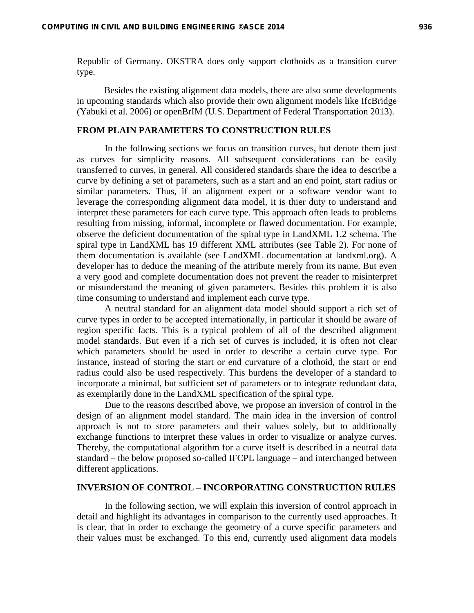Republic of Germany. OKSTRA does only support clothoids as a transition curve type.

Besides the existing alignment data models, there are also some developments in upcoming standards which also provide their own alignment models like IfcBridge (Yabuki et al. 2006) or openBrIM (U.S. Department of Federal Transportation 2013).

# **FROM PLAIN PARAMETERS TO CONSTRUCTION RULES**

In the following sections we focus on transition curves, but denote them just as curves for simplicity reasons. All subsequent considerations can be easily transferred to curves, in general. All considered standards share the idea to describe a curve by defining a set of parameters, such as a start and an end point, start radius or similar parameters. Thus, if an alignment expert or a software vendor want to leverage the corresponding alignment data model, it is thier duty to understand and interpret these parameters for each curve type. This approach often leads to problems resulting from missing, informal, incomplete or flawed documentation. For example, observe the deficient documentation of the spiral type in LandXML 1.2 schema. The spiral type in LandXML has 19 different XML attributes (see Table 2). For none of them documentation is available (see LandXML documentation at landxml.org). A developer has to deduce the meaning of the attribute merely from its name. But even a very good and complete documentation does not prevent the reader to misinterpret or misunderstand the meaning of given parameters. Besides this problem it is also time consuming to understand and implement each curve type.

A neutral standard for an alignment data model should support a rich set of curve types in order to be accepted internationally, in particular it should be aware of region specific facts. This is a typical problem of all of the described alignment model standards. But even if a rich set of curves is included, it is often not clear which parameters should be used in order to describe a certain curve type. For instance, instead of storing the start or end curvature of a clothoid, the start or end radius could also be used respectively. This burdens the developer of a standard to incorporate a minimal, but sufficient set of parameters or to integrate redundant data, as exemplarily done in the LandXML specification of the spiral type.

Due to the reasons described above, we propose an inversion of control in the design of an alignment model standard. The main idea in the inversion of control approach is not to store parameters and their values solely, but to additionally exchange functions to interpret these values in order to visualize or analyze curves. Thereby, the computational algorithm for a curve itself is described in a neutral data standard – the below proposed so-called IFCPL language – and interchanged between different applications.

#### **INVERSION OF CONTROL – INCORPORATING CONSTRUCTION RULES**

In the following section, we will explain this inversion of control approach in detail and highlight its advantages in comparison to the currently used approaches. It is clear, that in order to exchange the geometry of a curve specific parameters and their values must be exchanged. To this end, currently used alignment data models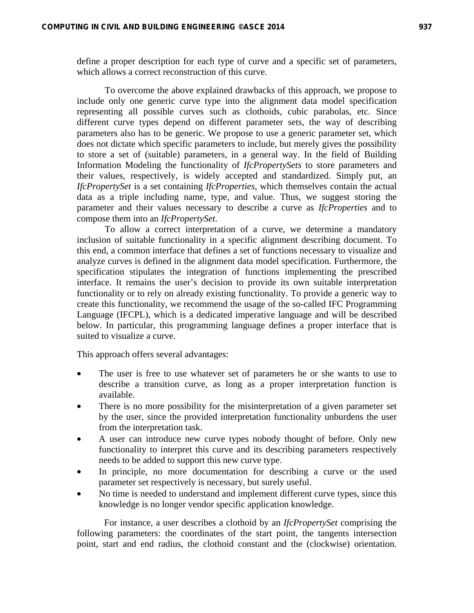define a proper description for each type of curve and a specific set of parameters, which allows a correct reconstruction of this curve.

To overcome the above explained drawbacks of this approach, we propose to include only one generic curve type into the alignment data model specification representing all possible curves such as clothoids, cubic parabolas, etc. Since different curve types depend on different parameter sets, the way of describing parameters also has to be generic. We propose to use a generic parameter set, which does not dictate which specific parameters to include, but merely gives the possibility to store a set of (suitable) parameters, in a general way. In the field of Building Information Modeling the functionality of *IfcPropertySets* to store parameters and their values, respectively, is widely accepted and standardized. Simply put, an *IfcPropertySet* is a set containing *IfcProperties*, which themselves contain the actual data as a triple including name, type, and value. Thus, we suggest storing the parameter and their values necessary to describe a curve as *IfcProperties* and to compose them into an *IfcPropertySet*.

To allow a correct interpretation of a curve, we determine a mandatory inclusion of suitable functionality in a specific alignment describing document. To this end, a common interface that defines a set of functions necessary to visualize and analyze curves is defined in the alignment data model specification. Furthermore, the specification stipulates the integration of functions implementing the prescribed interface. It remains the user's decision to provide its own suitable interpretation functionality or to rely on already existing functionality. To provide a generic way to create this functionality, we recommend the usage of the so-called IFC Programming Language (IFCPL), which is a dedicated imperative language and will be described below. In particular, this programming language defines a proper interface that is suited to visualize a curve.

This approach offers several advantages:

- The user is free to use whatever set of parameters he or she wants to use to describe a transition curve, as long as a proper interpretation function is available.
- There is no more possibility for the misinterpretation of a given parameter set by the user, since the provided interpretation functionality unburdens the user from the interpretation task.
- A user can introduce new curve types nobody thought of before. Only new functionality to interpret this curve and its describing parameters respectively needs to be added to support this new curve type.
- In principle, no more documentation for describing a curve or the used parameter set respectively is necessary, but surely useful.
- No time is needed to understand and implement different curve types, since this knowledge is no longer vendor specific application knowledge.

For instance, a user describes a clothoid by an *IfcPropertySet* comprising the following parameters: the coordinates of the start point, the tangents intersection point, start and end radius, the clothoid constant and the (clockwise) orientation.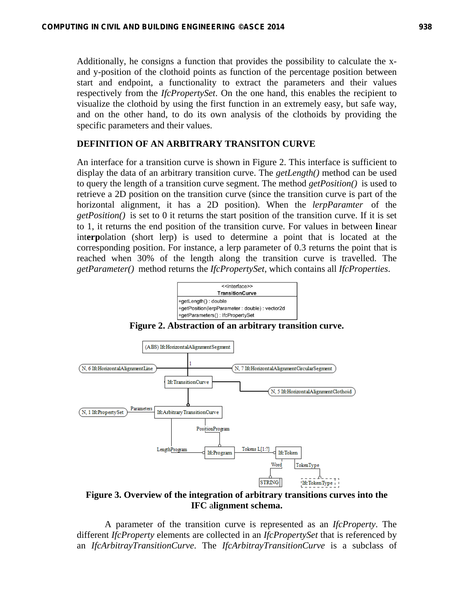Additionally, he consigns a function that provides the possibility to calculate the xand y-position of the clothoid points as function of the percentage position between start and endpoint, a functionality to extract the parameters and their values respectively from the *IfcPropertySet*. On the one hand, this enables the recipient to visualize the clothoid by using the first function in an extremely easy, but safe way, and on the other hand, to do its own analysis of the clothoids by providing the specific parameters and their values.

# **DEFINITION OF AN ARBITRARY TRANSITON CURVE**

An interface for a transition curve is shown in Figure 2. This interface is sufficient to display the data of an arbitrary transition curve. The *getLength()* method can be used to query the length of a transition curve segment. The method *getPosition()* is used to retrieve a 2D position on the transition curve (since the transition curve is part of the horizontal alignment, it has a 2D position). When the *lerpParamter* of the *getPosition()* is set to 0 it returns the start position of the transition curve. If it is set to 1, it returns the end position of the transition curve. For values in between **l**inear int**erp**olation (short lerp) is used to determine a point that is located at the corresponding position. For instance, a lerp parameter of 0.3 returns the point that is reached when 30% of the length along the transition curve is travelled. The *getParameter()* method returns the *IfcPropertySet*, which contains all *IfcProperties*.



**Figure 2. Abstraction of an arbitrary transition curve.** 



**Figure 3. Overview of the integration of arbitrary transitions curves into the IFC** a**lignment schema.** 

A parameter of the transition curve is represented as an *IfcProperty*. The different *IfcProperty* elements are collected in an *IfcPropertySet* that is referenced by an *IfcArbitrayTransitionCurve*. The *IfcArbitrayTransitionCurve* is a subclass of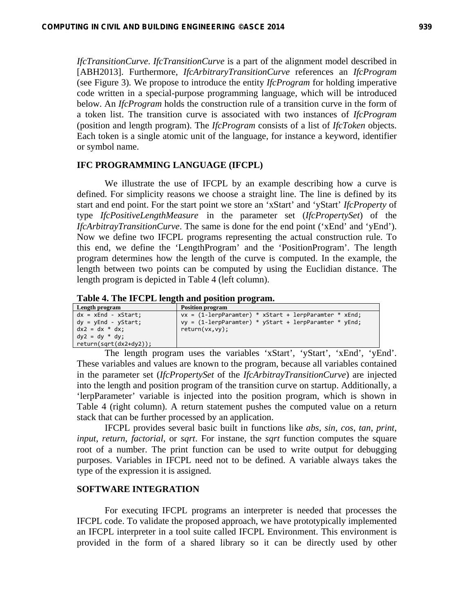*IfcTransitionCurve*. *IfcTransitionCurve* is a part of the alignment model described in [ABH2013]. Furthermore, *IfcArbitraryTransitionCurve* references an *IfcProgram* (see Figure 3)*.* We propose to introduce the entity *IfcProgram* for holding imperative code written in a special-purpose programming language, which will be introduced below. An *IfcProgram* holds the construction rule of a transition curve in the form of a token list. The transition curve is associated with two instances of *IfcProgram*  (position and length program). The *IfcProgram* consists of a list of *IfcToken* objects. Each token is a single atomic unit of the language, for instance a keyword, identifier or symbol name.

#### **IFC PROGRAMMING LANGUAGE (IFCPL)**

We illustrate the use of IFCPL by an example describing how a curve is defined. For simplicity reasons we choose a straight line. The line is defined by its start and end point. For the start point we store an 'xStart' and 'yStart' *IfcProperty* of type *IfcPositiveLengthMeasure* in the parameter set (*IfcPropertySet*) of the *IfcArbitrayTransitionCurve*. The same is done for the end point ('xEnd' and 'yEnd'). Now we define two IFCPL programs representing the actual construction rule. To this end, we define the 'LengthProgram' and the 'PositionProgram'. The length program determines how the length of the curve is computed. In the example, the length between two points can be computed by using the Euclidian distance. The length program is depicted in Table 4 (left column).

#### **Table 4. The IFCPL length and position program.**

| Length program         | <b>Position program</b>                                   |
|------------------------|-----------------------------------------------------------|
| $dx = xEnd - xStart;$  | $vx = (1-lerpParameter) * xStart + lerpParameter * xEnd;$ |
| $dy = yEnd - yStart;$  | $vy = (1-lerpParameter) * yStart + lerpParameter * yEnd;$ |
| $dx2 = dx * dx$ ;      | return(vx, vy);                                           |
| $dy2 = dy * dy$        |                                                           |
| return(sqrt(dx2+dy2)); |                                                           |

 The length program uses the variables 'xStart', 'yStart', 'xEnd', 'yEnd'. These variables and values are known to the program, because all variables contained in the parameter set (*IfcPropertySet* of the *IfcArbitrayTransitionCurve*) are injected into the length and position program of the transition curve on startup. Additionally, a 'lerpParameter' variable is injected into the position program, which is shown in Table 4 (right column). A return statement pushes the computed value on a return stack that can be further processed by an application.

IFCPL provides several basic built in functions like *abs*, *sin*, *cos*, *tan*, *print*, *input*, *return*, *factorial*, or *sqrt*. For instane, the *sqrt* function computes the square root of a number. The print function can be used to write output for debugging purposes. Variables in IFCPL need not to be defined. A variable always takes the type of the expression it is assigned.

## **SOFTWARE INTEGRATION**

For executing IFCPL programs an interpreter is needed that processes the IFCPL code. To validate the proposed approach, we have prototypically implemented an IFCPL interpreter in a tool suite called IFCPL Environment. This environment is provided in the form of a shared library so it can be directly used by other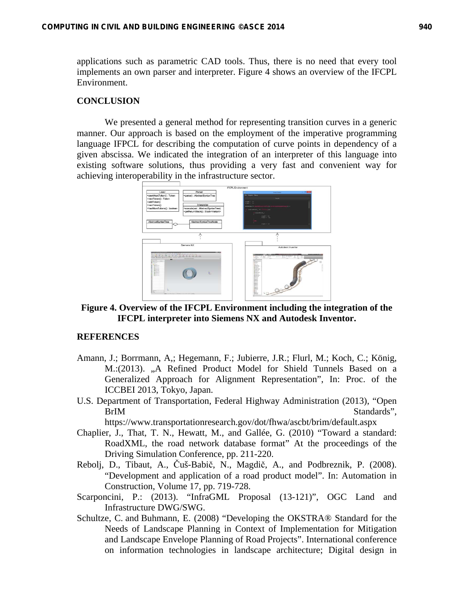applications such as parametric CAD tools. Thus, there is no need that every tool implements an own parser and interpreter. Figure 4 shows an overview of the IFCPL Environment.

## **CONCLUSION**

We presented a general method for representing transition curves in a generic manner. Our approach is based on the employment of the imperative programming language IFPCL for describing the computation of curve points in dependency of a given abscissa. We indicated the integration of an interpreter of this language into existing software solutions, thus providing a very fast and convenient way for achieving interoperability in the infrastructure sector.



# **Figure 4. Overview of the IFCPL Environment including the integration of the IFCPL interpreter into Siemens NX and Autodesk Inventor.**

#### **REFERENCES**

- Amann, J.; Borrmann, A,; Hegemann, F.; Jubierre, J.R.; Flurl, M.; Koch, C.; König, M.:(2013). "A Refined Product Model for Shield Tunnels Based on a Generalized Approach for Alignment Representation", In: Proc. of the ICCBEI 2013, Tokyo, Japan.
- U.S. Department of Transportation, Federal Highway Administration (2013), "Open BrIM Standards",

https://www.transportationresearch.gov/dot/fhwa/ascbt/brim/default.aspx

- Chaplier, J., That, T. N., Hewatt, M., and Gallée, G. (2010) "Toward a standard: RoadXML, the road network database format" At the proceedings of the Driving Simulation Conference, pp. 211-220.
- Rebolj, D., Tibaut, A., Čuš-Babič, N., Magdič, A., and Podbreznik, P. (2008). "Development and application of a road product model". In: Automation in Construction, Volume 17, pp. 719-728.
- Scarponcini, P.: (2013). "InfraGML Proposal (13-121)", OGC Land and Infrastructure DWG/SWG.
- Schultze, C. and Buhmann, E. (2008) "Developing the OKSTRA® Standard for the Needs of Landscape Planning in Context of Implementation for Mitigation and Landscape Envelope Planning of Road Projects". International conference on information technologies in landscape architecture; Digital design in